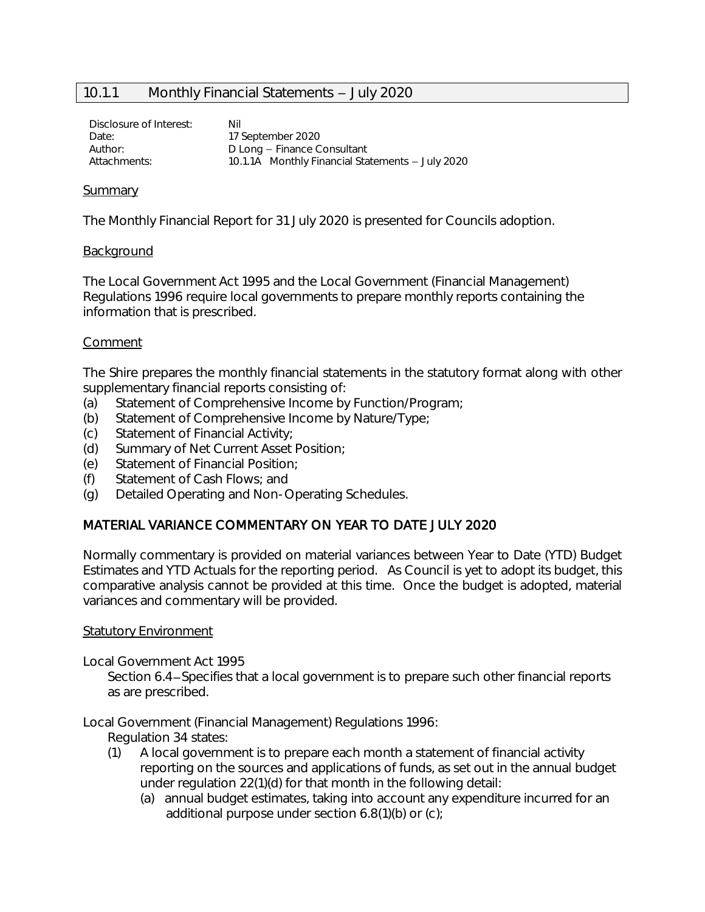# 10.1.1 Monthly Financial Statements - July 2020

Disclosure of Interest: Nil Date: 17 September 2020 Author: D Long - Finance Consultant Attachments: 10.1.1A Monthly Financial Statements - July 2020

#### Summary

The Monthly Financial Report for 31 July 2020 is presented for Councils adoption.

### Background

The Local Government Act 1995 and the Local Government (Financial Management) Regulations 1996 require local governments to prepare monthly reports containing the information that is prescribed.

### Comment

The Shire prepares the monthly financial statements in the statutory format along with other supplementary financial reports consisting of:

- (a) Statement of Comprehensive Income by Function/Program;
- (b) Statement of Comprehensive Income by Nature/Type;
- (c) Statement of Financial Activity;
- (d) Summary of Net Current Asset Position;
- (e) Statement of Financial Position;
- (f) Statement of Cash Flows; and
- (g) Detailed Operating and Non-Operating Schedules.

# MATERIAL VARIANCE COMMENTARY ON YEAR TO DATE JULY 2020

Normally commentary is provided on material variances between Year to Date (YTD) Budget Estimates and YTD Actuals for the reporting period. As Council is yet to adopt its budget, this comparative analysis cannot be provided at this time. Once the budget is adopted, material variances and commentary will be provided.

#### Statutory Environment

Local Government Act 1995

Section 6.4-Specifies that a local government is to prepare such other financial reports as are prescribed.

Local Government (Financial Management) Regulations 1996:

Regulation 34 states:

- (1) A local government is to prepare each month a statement of financial activity reporting on the sources and applications of funds, as set out in the annual budget under regulation 22(1)(d) for that month in the following detail:
	- (a) annual budget estimates, taking into account any expenditure incurred for an additional purpose under section 6.8(1)(b) or (c);